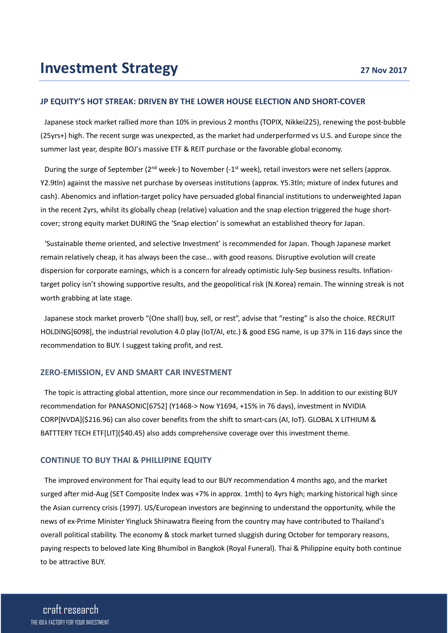### **JP EQUITY'S HOT STREAK: DRIVEN BY THE LOWER HOUSE ELECTION AND SHORT-COVER**

Japanese stock market rallied more than 10% in previous 2 months (TOPIX, Nikkei225), renewing the post-bubble (25yrs+) high. The recent surge was unexpected, as the market had underperformed vs U.S. and Europe since the summer last year, despite BOJ's massive ETF & REIT purchase or the favorable global economy.

During the surge of September (2<sup>nd</sup> week-) to November (-1<sup>st</sup> week), retail investors were net sellers (approx. Y2.9tln) against the massive net purchase by overseas institutions (approx. Y5.3tln; mixture of index futures and cash). Abenomics and inflation-target policy have persuaded global financial institutions to underweighted Japan in the recent 2yrs, whilst its globally cheap (relative) valuation and the snap election triggered the huge shortcover; strong equity market DURING the 'Snap election' is somewhat an established theory for Japan.

'Sustainable theme oriented, and selective Investment' is recommended for Japan. Though Japanese market remain relatively cheap, it has always been the case… with good reasons. Disruptive evolution will create dispersion for corporate earnings, which is a concern for already optimistic July-Sep business results. Inflationtarget policy isn't showing supportive results, and the geopolitical risk (N.Korea) remain. The winning streak is not worth grabbing at late stage.

Japanese stock market proverb "(One shall) buy, sell, or rest", advise that "resting" is also the choice. RECRUIT HOLDING[6098], the industrial revolution 4.0 play (IoT/AI, etc.) & good ESG name, is up 37% in 116 days since the recommendation to BUY. I suggest taking profit, and rest.

### **ZERO-EMISSION, EV AND SMART CAR INVESTMENT**

The topic is attracting global attention, more since our recommendation in Sep. In addition to our existing BUY recommendation for PANASONIC[6752] (Y1468-> Now Y1694, +15% in 76 days), investment in NVIDIA CORP[NVDA](\$216.96) can also cover benefits from the shift to smart-cars (AI, IoT). GLOBAL X LITHIUM & BATTTERY TECH ETF[LIT](\$40.45) also adds comprehensive coverage over this investment theme.

#### **CONTINUE TO BUY THAI & PHILLIPINE EQUITY**

The improved environment for Thai equity lead to our BUY recommendation 4 months ago, and the market surged after mid-Aug (SET Composite Index was +7% in approx. 1mth) to 4yrs high; marking historical high since the Asian currency crisis (1997). US/European investors are beginning to understand the opportunity, while the news of ex-Prime Minister Yingluck Shinawatra fleeing from the country may have contributed to Thailand's overall political stability. The economy & stock market turned sluggish during October for temporary reasons, paying respects to beloved late King Bhumibol in Bangkok (Royal Funeral). Thai & Philippine equity both continue to be attractive BUY.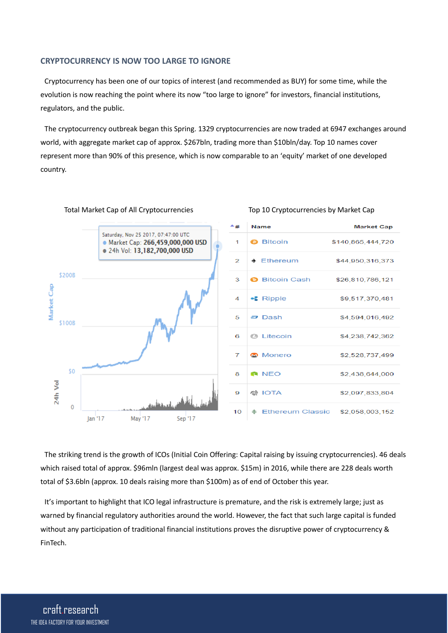## **CRYPTOCURRENCY IS NOW TOO LARGE TO IGNORE**

Cryptocurrency has been one of our topics of interest (and recommended as BUY) for some time, while the evolution is now reaching the point where its now "too large to ignore" for investors, financial institutions, regulators, and the public.

The cryptocurrency outbreak began this Spring. 1329 cryptocurrencies are now traded at 6947 exchanges around world, with aggregate market cap of approx. \$267bln, trading more than \$10bln/day. Top 10 names cover represent more than 90% of this presence, which is now comparable to an 'equity' market of one developed country.



| ≛# | <b>Name</b>                                                 | <b>Market Cap</b> |
|----|-------------------------------------------------------------|-------------------|
| 1  | <b>a</b> Bitcoin                                            | \$140,865,444,720 |
| 2  | $\bullet$ Ethereum                                          | \$44,950,316,373  |
| 3  | <b>Bitcoin Cash</b>                                         | \$26,810,786,121  |
| 4  | $\cdot$ Ripple                                              | \$9,517,370,481   |
| 5. | $\boldsymbol{\Xi}$ Dash                                     | \$4,594,016,492   |
| 6  | <b>@</b> Litecoin                                           | \$4,238,742,362   |
| 7  | <b>Monero</b>                                               | \$2,528,737,499   |
| 8  | <b>NEO</b>                                                  | \$2,438,644,000   |
| 9  | ● IOTA                                                      | \$2,097,833,804   |
| 10 | $\textcircled{\textcirc}$ Ethereum Classic $$2.058.003.152$ |                   |

#### Total Market Cap of All Cryptocurrencies Top 10 Cryptocurrencies by Market Cap

The striking trend is the growth of ICOs (Initial Coin Offering: Capital raising by issuing cryptocurrencies). 46 deals which raised total of approx. \$96mln (largest deal was approx. \$15m) in 2016, while there are 228 deals worth total of \$3.6bln (approx. 10 deals raising more than \$100m) as of end of October this year.

It's important to highlight that ICO legal infrastructure is premature, and the risk is extremely large; just as warned by financial regulatory authorities around the world. However, the fact that such large capital is funded without any participation of traditional financial institutions proves the disruptive power of cryptocurrency & FinTech.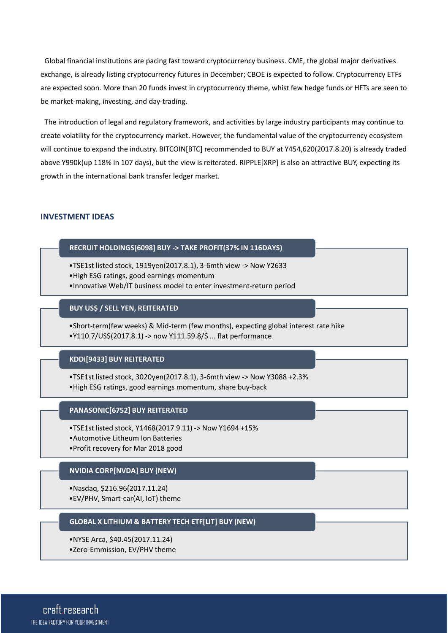Global financial institutions are pacing fast toward cryptocurrency business. CME, the global major derivatives exchange, is already listing cryptocurrency futures in December; CBOE is expected to follow. Cryptocurrency ETFs are expected soon. More than 20 funds invest in cryptocurrency theme, whist few hedge funds or HFTs are seen to be market-making, investing, and day-trading.

The introduction of legal and regulatory framework, and activities by large industry participants may continue to create volatility for the cryptocurrency market. However, the fundamental value of the cryptocurrency ecosystem will continue to expand the industry. BITCOIN[BTC] recommended to BUY at Y454,620(2017.8.20) is already traded above Y990k(up 118% in 107 days), but the view is reiterated. RIPPLE[XRP] is also an attractive BUY, expecting its growth in the international bank transfer ledger market.

# **INVESTMENT IDEAS**

## **RECRUIT HOLDINGS[6098] BUY -> TAKE PROFIT(37% IN 116DAYS)**

- •TSE1st listed stock, 1919yen(2017.8.1), 3-6mth view -> Now Y2633
- •High ESG ratings, good earnings momentum
- •Innovative Web/IT business model to enter investment-return period

## **BUY US\$ / SELL YEN, REITERATED**

•Short-term(few weeks) & Mid-term (few months), expecting global interest rate hike •Y110.7/US\$(2017.8.1) -> now Y111.59.8/\$ ... flat performance

## **KDDI[9433] BUY REITERATED**

- •TSE1st listed stock, 3020yen(2017.8.1), 3-6mth view -> Now Y3088 +2.3%
- •High ESG ratings, good earnings momentum, share buy-back

#### **PANASONIC[6752] BUY REITERATED**

- •TSE1st listed stock, Y1468(2017.9.11) -> Now Y1694 +15%
- •Automotive Litheum Ion Batteries
- •Profit recovery for Mar 2018 good

## **NVIDIA CORP[NVDA] BUY (NEW)**

- •Nasdaq, \$216.96(2017.11.24)
- •EV/PHV, Smart-car(AI, IoT) theme

# **GLOBAL X LITHIUM & BATTERY TECH ETF[LIT] BUY (NEW)**

- •NYSE Arca, \$40.45(2017.11.24)
- •Zero-Emmission, EV/PHV theme